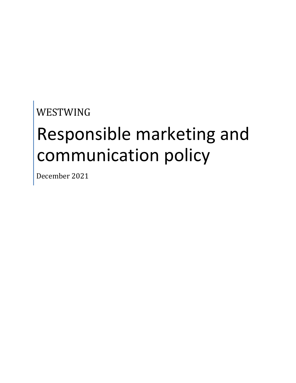## WESTWING

# Responsible marketing and communication policy

December 2021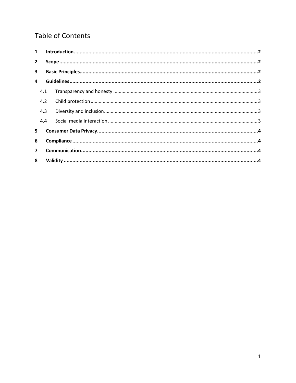## **Table of Contents**

| $\mathbf{1}$   |     |  |  |
|----------------|-----|--|--|
| $\overline{2}$ |     |  |  |
| 3              |     |  |  |
| 4              |     |  |  |
|                | 4.1 |  |  |
|                | 4.2 |  |  |
|                | 4.3 |  |  |
|                | 4.4 |  |  |
| 5.             |     |  |  |
| 6              |     |  |  |
| $\overline{ }$ |     |  |  |
| 8              |     |  |  |
|                |     |  |  |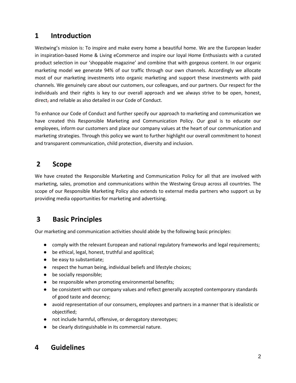## <span id="page-2-0"></span>**1 Introduction**

Westwing's mission is: To inspire and make every home a beautiful home. We are the European leader in inspiration-based Home & Living eCommerce and inspire our loyal Home Enthusiasts with a curated product selection in our 'shoppable magazine' and combine that with gorgeous content. In our organic marketing model we generate 94% of our traffic through our own channels. Accordingly we allocate most of our marketing investments into organic marketing and support these investments with paid channels. We genuinely care about our customers, our colleagues, and our partners. Our respect for the individuals and their rights is key to our overall approach and we always strive to be open, honest, direct<sub>z</sub> and reliable as also detailed in our Code of Conduct.

To enhance our Code of Conduct and further specify our approach to marketing and communication we have created this Responsible Marketing and Communication Policy. Our goal is to educate our employees, inform our customers and place our company values at the heart of our communication and marketing strategies. Through this policy we want to further highlight our overall commitment to honest and transparent communication, child protection, diversity and inclusion.

### <span id="page-2-1"></span>**2 Scope**

We have created the Responsible Marketing and Communication Policy for all that are involved with marketing, sales, promotion and communications within the Westwing Group across all countries. The scope of our Responsible Marketing Policy also extends to external media partners who support us by providing media opportunities for marketing and advertising.

## <span id="page-2-2"></span>**3 Basic Principles**

Our marketing and communication activities should abide by the following basic principles:

- comply with the relevant European and national regulatory frameworks and legal requirements;
- be ethical, legal, honest, truthful and apolitical;
- be easy to substantiate;
- respect the human being, individual beliefs and lifestyle choices;
- be socially responsible;
- be responsible when promoting environmental benefits;
- be consistent with our company values and reflect generally accepted contemporary standards of good taste and decency;
- avoid representation of our consumers, employees and partners in a manner that is idealistic or objectified;
- not include harmful, offensive, or derogatory stereotypes;
- be clearly distinguishable in its commercial nature.

## <span id="page-2-3"></span>**4 Guidelines**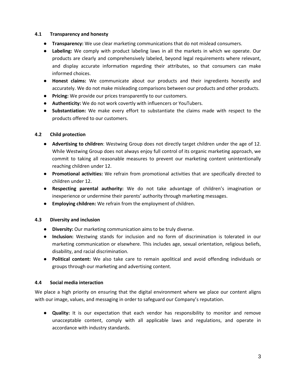#### <span id="page-3-0"></span>**4.1 Transparency and honesty**

- **Transparency:** We use clear marketing communications that do not mislead consumers.
- **Labeling:** We comply with product labeling laws in all the markets in which we operate. Our products are clearly and comprehensively labeled, beyond legal requirements where relevant, and display accurate information regarding their attributes, so that consumers can make informed choices.
- **Honest claims:** We communicate about our products and their ingredients honestly and accurately. We do not make misleading comparisons between our products and other products.
- **Pricing:** We provide our prices transparently to our customers.
- **Authenticity:** We do not work covertly with influencers or YouTubers.
- **Substantiation:** We make every effort to substantiate the claims made with respect to the products offered to our customers.

#### <span id="page-3-1"></span>**4.2 Child protection**

- **Advertising to children**: Westwing Group does not directly target children under the age of 12. While Westwing Group does not always enjoy full control of its organic marketing approach, we commit to taking all reasonable measures to prevent our marketing content unintentionally reaching children under 12.
- **Promotional activities:** We refrain from promotional activities that are specifically directed to children under 12.
- **Respecting parental authority:** We do not take advantage of children's imagination or inexperience or undermine their parents' authority through marketing messages.
- **Employing children:** We refrain from the employment of children.

#### <span id="page-3-2"></span>**4.3 Diversity and inclusion**

- **Diversity:** Our marketing communication aims to be truly diverse.
- **Inclusion:** Westwing stands for inclusion and no form of discrimination is tolerated in our marketing communication or elsewhere. This includes age, sexual orientation, religious beliefs, disability, and racial discrimination.
- **Political content:** We also take care to remain apolitical and avoid offending individuals or groups through our marketing and advertising content.

#### <span id="page-3-3"></span>**4.4 Social media interaction**

We place a high priority on ensuring that the digital environment where we place our content aligns with our image, values, and messaging in order to safeguard our Company's reputation.

● **Quality:** It is our expectation that each vendor has responsibility to monitor and remove unacceptable content, comply with all applicable laws and regulations, and operate in accordance with industry standards.